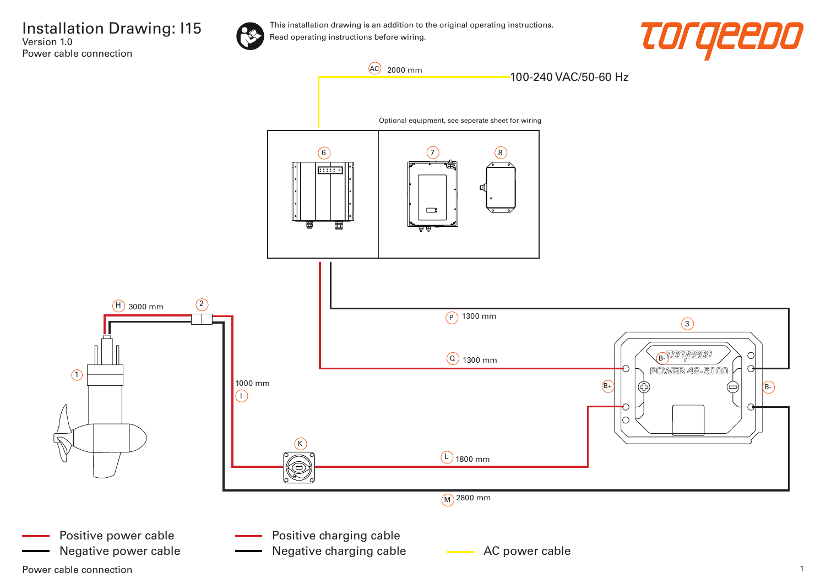Installation Drawing: I15 Version 1.0 Power cable connection



This installation drawing is an addition to the original operating instructions. Read operating instructions before wiring.



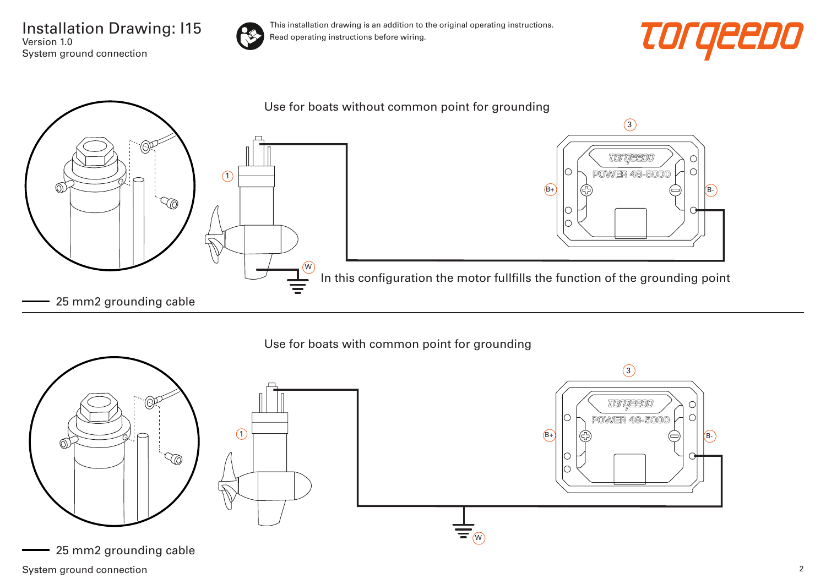Installation Drawing: I15 Version 1.0 System ground connection



This installation drawing is an addition to the original operating instructions. Read operating instructions before wiring.





Use for boats with common point for grounding



System ground connection 2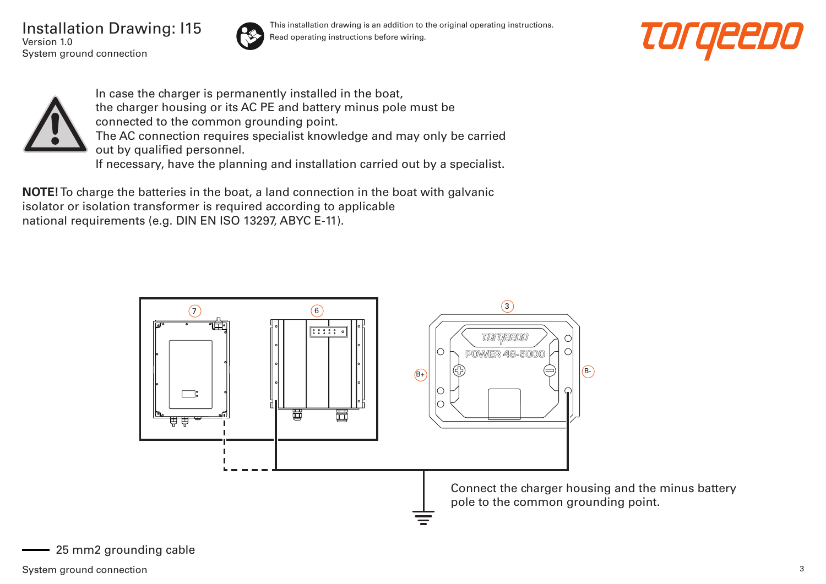Installation Drawing: I15 Version 1.0 System ground connection



This installation drawing is an addition to the original operating instructions. Read operating instructions before wiring.





In case the charger is permanently installed in the boat, the charger housing or its AC PE and battery minus pole must be connected to the common grounding point. The AC connection requires specialist knowledge and may only be carried out by qualified personnel. If necessary, have the planning and installation carried out by a specialist.

**NOTE!** To charge the batteries in the boat, a land connection in the boat with galvanic isolator or isolation transformer is required according to applicable national requirements (e.g. DIN EN ISO 13297, ABYC E-11).

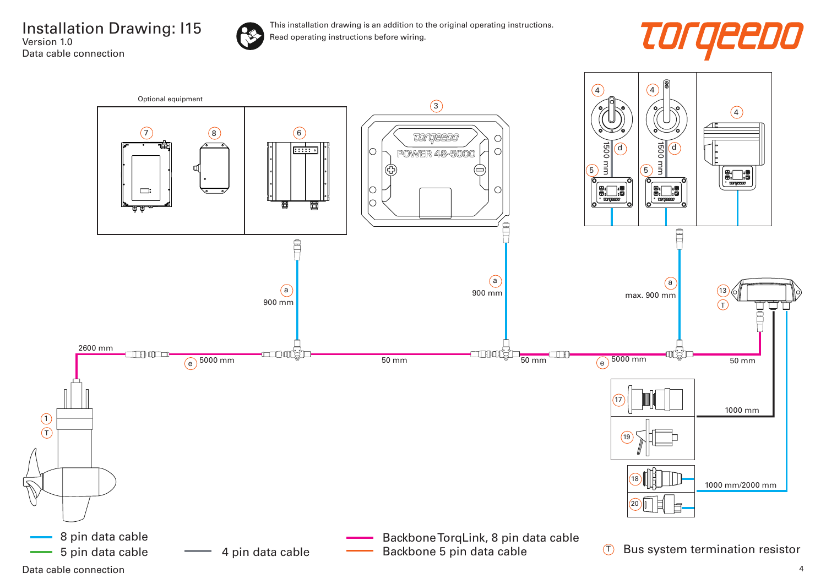Installation Drawing: I15 Version 1.0 Data cable connection



This installation drawing is an addition to the original operating instructions. Read operating instructions before wiring.



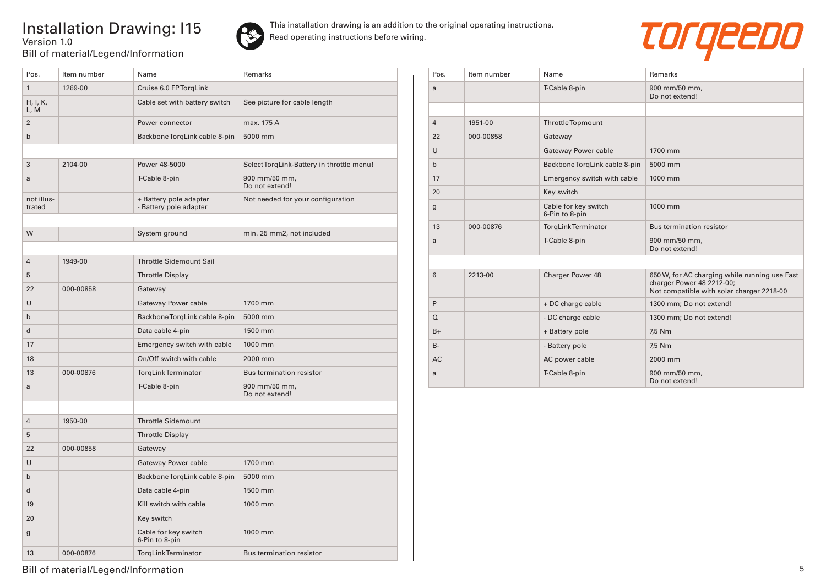## Installation Drawing: I15 Version 1.0 Bill of material/Legend/Information



This installation drawing is an addition to the original operating instructions. Read operating instructions before wiring.



| Pos.                 | Item number | Name                                             | Remarks                                   |
|----------------------|-------------|--------------------------------------------------|-------------------------------------------|
| $\mathbf{1}$         | 1269-00     | Cruise 6.0 FP TorqLink                           |                                           |
| H, I, K,<br>L, M     |             | Cable set with battery switch                    | See picture for cable length              |
| $\overline{2}$       |             | Power connector                                  | max. 175 A                                |
| b                    |             | Backbone TorgLink cable 8-pin                    | 5000 mm                                   |
|                      |             |                                                  |                                           |
| 3                    | 2104-00     | Power 48-5000                                    | Select TorgLink-Battery in throttle menu! |
| a                    |             | T-Cable 8-pin                                    | 900 mm/50 mm,<br>Do not extend!           |
| not illus-<br>trated |             | + Battery pole adapter<br>- Battery pole adapter | Not needed for your configuration         |
|                      |             |                                                  |                                           |
| W                    |             | System ground                                    | min. 25 mm2, not included                 |
|                      |             |                                                  |                                           |
| $\overline{4}$       | 1949-00     | <b>Throttle Sidemount Sail</b>                   |                                           |
| 5                    |             | <b>Throttle Display</b>                          |                                           |
| 22                   | 000-00858   | Gateway                                          |                                           |
| U                    |             | Gateway Power cable                              | 1700 mm                                   |
| $\mathsf{b}$         |             | Backbone TorgLink cable 8-pin                    | 5000 mm                                   |
| d                    |             | Data cable 4-pin                                 | 1500 mm                                   |
| 17                   |             | Emergency switch with cable                      | 1000 mm                                   |
| 18                   |             | On/Off switch with cable                         | 2000 mm                                   |
| 13                   | 000-00876   | <b>TorgLink Terminator</b>                       | Bus termination resistor                  |
| a                    |             | T-Cable 8-pin                                    | 900 mm/50 mm,<br>Do not extend!           |
|                      |             |                                                  |                                           |
| $\overline{4}$       | 1950-00     | <b>Throttle Sidemount</b>                        |                                           |
| 5                    |             | <b>Throttle Display</b>                          |                                           |
| 22                   | 000-00858   | Gateway                                          |                                           |
| U                    |             | <b>Gateway Power cable</b>                       | 1700 mm                                   |
| $\mathbf b$          |             | Backbone TorqLink cable 8-pin                    | 5000 mm                                   |
| d                    |             | Data cable 4-pin                                 | 1500 mm                                   |
| 19                   |             | Kill switch with cable                           | 1000 mm                                   |
| 20                   |             | Key switch                                       |                                           |
| g                    |             | Cable for key switch<br>6-Pin to 8-pin           | 1000 mm                                   |
| 13                   | 000-00876   | <b>TorgLink Terminator</b>                       | <b>Bus termination resistor</b>           |

| Pos.           | Item number | Name                                   | Remarks                                                                                                                 |
|----------------|-------------|----------------------------------------|-------------------------------------------------------------------------------------------------------------------------|
| a              |             | T-Cable 8-pin                          | 900 mm/50 mm,<br>Do not extend!                                                                                         |
|                |             |                                        |                                                                                                                         |
| $\overline{4}$ | 1951-00     | <b>ThrottleTopmount</b>                |                                                                                                                         |
| 22             | 000-00858   | Gateway                                |                                                                                                                         |
| U              |             | Gateway Power cable                    | 1700 mm                                                                                                                 |
| $\mathsf{b}$   |             | Backbone TorqLink cable 8-pin          | 5000 mm                                                                                                                 |
| 17             |             | Emergency switch with cable            | 1000 mm                                                                                                                 |
| 20             |             | Key switch                             |                                                                                                                         |
| $\mathbf{g}$   |             | Cable for key switch<br>6-Pin to 8-pin | 1000 mm                                                                                                                 |
| 13             | 000-00876   | TorgLinkTerminator                     | Bus termination resistor                                                                                                |
| a              |             | T-Cable 8-pin                          | 900 mm/50 mm,<br>Do not extend!                                                                                         |
|                |             |                                        |                                                                                                                         |
| 6              | 2213-00     | Charger Power 48                       | 650 W, for AC charging while running use Fast<br>charger Power 48 2212-00;<br>Not compatible with solar charger 2218-00 |
| P              |             | + DC charge cable                      | 1300 mm; Do not extend!                                                                                                 |
| $\Omega$       |             | - DC charge cable                      | 1300 mm; Do not extend!                                                                                                 |
| $B+$           |             | + Battery pole                         | 7,5 Nm                                                                                                                  |
| $B -$          |             | - Battery pole                         | 7,5 Nm                                                                                                                  |
| <b>AC</b>      |             | AC power cable                         | 2000 mm                                                                                                                 |
| a              |             | T-Cable 8-pin                          | 900 mm/50 mm,<br>Do not extend!                                                                                         |

Bill of material/Legend/Information 5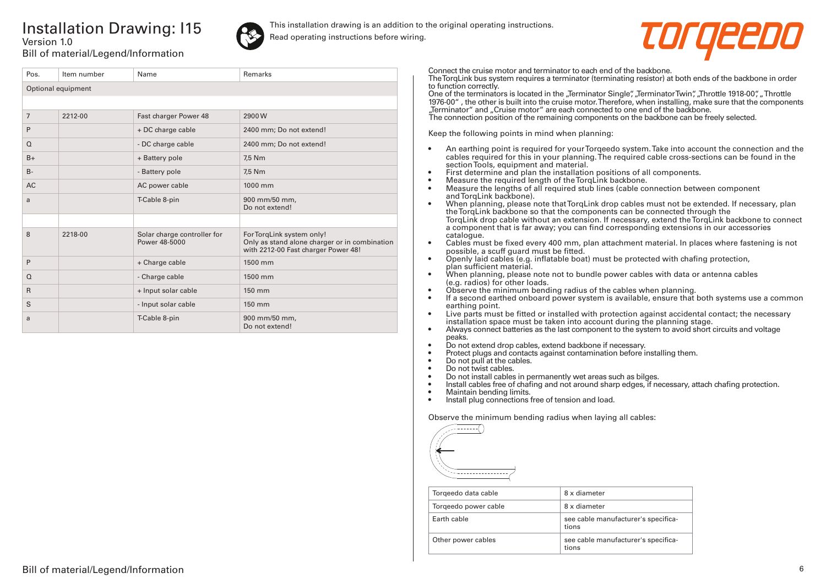## Installation Drawing: I15 Version 1.0



This installation drawing is an addition to the original operating instructions. Read operating instructions before wiring.



Bill of material/Legend/Information

| Pos.               | Item number | Name                                         | <b>Remarks</b>                                                                                                    |  |
|--------------------|-------------|----------------------------------------------|-------------------------------------------------------------------------------------------------------------------|--|
| Optional equipment |             |                                              |                                                                                                                   |  |
|                    |             |                                              |                                                                                                                   |  |
| $\overline{7}$     | 2212-00     | Fast charger Power 48                        | 2900W                                                                                                             |  |
| P                  |             | + DC charge cable                            | 2400 mm; Do not extend!                                                                                           |  |
| $\Omega$           |             | - DC charge cable                            | 2400 mm; Do not extend!                                                                                           |  |
| $B+$               |             | + Battery pole                               | 7,5 Nm                                                                                                            |  |
| $B -$              |             | - Battery pole                               | 7,5 Nm                                                                                                            |  |
| <b>AC</b>          |             | AC power cable                               | 1000 mm                                                                                                           |  |
| a                  |             | T-Cable 8-pin                                | 900 mm/50 mm,<br>Do not extend!                                                                                   |  |
|                    |             |                                              |                                                                                                                   |  |
| 8                  | 2218-00     | Solar charge controller for<br>Power 48-5000 | For TorqLink system only!<br>Only as stand alone charger or in combination<br>with 2212-00 Fast charger Power 48! |  |
| P                  |             | + Charge cable                               | 1500 mm                                                                                                           |  |
| $\Omega$           |             | - Charge cable                               | 1500 mm                                                                                                           |  |
| $\mathsf{R}$       |             | + Input solar cable                          | 150 mm                                                                                                            |  |
| S                  |             | - Input solar cable                          | 150 mm                                                                                                            |  |
| a                  |             | T-Cable 8-pin                                | 900 mm/50 mm,<br>Do not extend!                                                                                   |  |

Connect the cruise motor and terminator to each end of the backbone.

The TorqLink bus system requires a terminator (terminating resistor) at both ends of the backbone in order to function correctly.

One of the terminators is located in the "Terminator Single", "Terminator Twin", "Throttle 1918-00", "Throttle 1976-00" , the other is built into the cruise motor. Therefore, when installing, make sure that the components "Terminator" and "Cruise motor" are each connected to one end of the backbone.

The connection position of the remaining components on the backbone can be freely selected.

Keep the following points in mind when planning:

- An earthing point is required for your Torqeedo system. Take into account the connection and the cables required for this in your planning. The required cable cross-sections can be found in the section Tools, equipment and material.
- First determine and plan the installation positions of all components.
- Measure the required length of the TorqLink backbone.<br>• Measure the lengths of all required stub lines (cable co
- Measure the lengths of all required stub lines (cable connection between component and TorqLink backbone).
- When planning, please note that TorqLink drop cables must not be extended. If necessary, plan the TorqLink backbone so that the components can be connected through the TorqLink drop cable without an extension. If necessary, extend the TorqLink backbone to connect a component that is far away; you can find corresponding extensions in our accessories catalogue.
- Cables must be fixed every 400 mm, plan attachment material. In places where fastening is not possible, a scuff guard must be fitted.
- Openly laid cables (e.g. inflatable boat) must be protected with chafing protection, plan sufficient material.
- When planning, please note not to bundle power cables with data or antenna cables (e.g. radios) for other loads.
- Observe the minimum bending radius of the cables when planning.
- If a second earthed onboard power system is available, ensure that both systems use a common earthing point.
- Live parts must be fitted or installed with protection against accidental contact; the necessary installation space must be taken into account during the planning stage.
- Always connect batteries as the last component to the system to avoid short circuits and voltage peaks.
- Do not extend drop cables, extend backbone if necessary.
- Protect plugs and contacts against contamination before installing them.
- Do not pull at the cables.
- Do not twist cables.
- Do not install cables in permanently wet areas such as bilges.
- Install cables free of chafing and not around sharp edges, if necessary, attach chafing protection.<br>• Maintain bending limits
- Maintain bending limits.
- Install plug connections free of tension and load.

Observe the minimum bending radius when laying all cables:



| Torgeedo data cable  | 8 x diameter                                 |
|----------------------|----------------------------------------------|
| Torgeedo power cable | 8 x diameter                                 |
| Farth cable          | see cable manufacturer's specifica-<br>tions |
| Other power cables   | see cable manufacturer's specifica-<br>tions |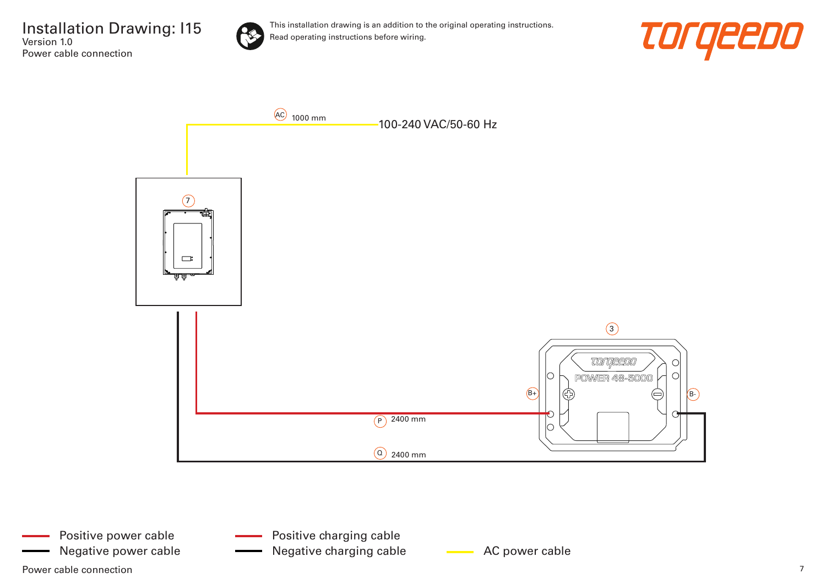Installation Drawing: I15 Version 1.0 Power cable connection



This installation drawing is an addition to the original operating instructions. Read operating instructions before wiring.





Negative power cable **AC AC power cable** AC power cable Negative charging cable